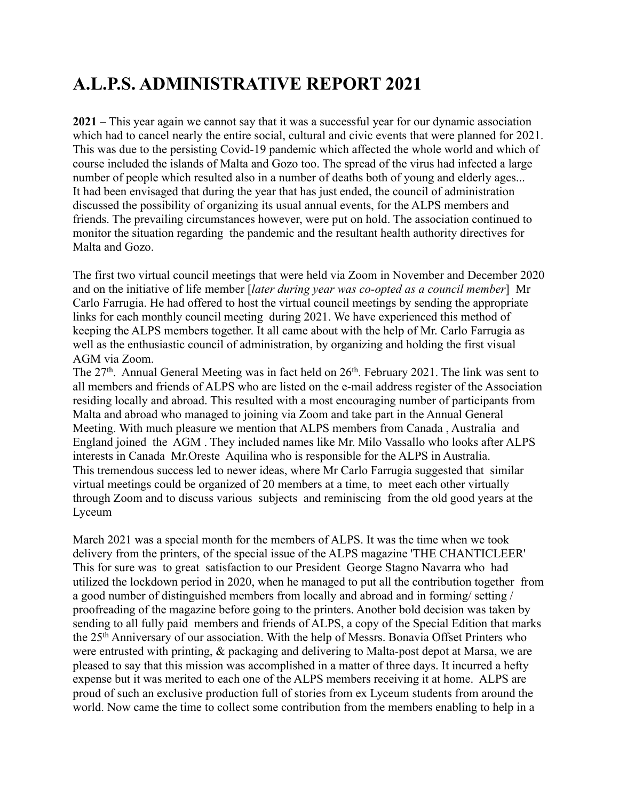## **A.L.P.S. ADMINISTRATIVE REPORT 2021**

**2021** – This year again we cannot say that it was a successful year for our dynamic association which had to cancel nearly the entire social, cultural and civic events that were planned for 2021. This was due to the persisting Covid-19 pandemic which affected the whole world and which of course included the islands of Malta and Gozo too. The spread of the virus had infected a large number of people which resulted also in a number of deaths both of young and elderly ages... It had been envisaged that during the year that has just ended, the council of administration discussed the possibility of organizing its usual annual events, for the ALPS members and friends. The prevailing circumstances however, were put on hold. The association continued to monitor the situation regarding the pandemic and the resultant health authority directives for Malta and Gozo.

The first two virtual council meetings that were held via Zoom in November and December 2020 and on the initiative of life member [*later during year was co-opted as a council member*] Mr Carlo Farrugia. He had offered to host the virtual council meetings by sending the appropriate links for each monthly council meeting during 2021. We have experienced this method of keeping the ALPS members together. It all came about with the help of Mr. Carlo Farrugia as well as the enthusiastic council of administration, by organizing and holding the first visual AGM via Zoom.

The  $27<sup>th</sup>$ . Annual General Meeting was in fact held on  $26<sup>th</sup>$ . February 2021. The link was sent to all members and friends of ALPS who are listed on the e-mail address register of the Association residing locally and abroad. This resulted with a most encouraging number of participants from Malta and abroad who managed to joining via Zoom and take part in the Annual General Meeting. With much pleasure we mention that ALPS members from Canada , Australia and England joined the AGM . They included names like Mr. Milo Vassallo who looks after ALPS interests in Canada Mr.Oreste Aquilina who is responsible for the ALPS in Australia. This tremendous success led to newer ideas, where Mr Carlo Farrugia suggested that similar virtual meetings could be organized of 20 members at a time, to meet each other virtually through Zoom and to discuss various subjects and reminiscing from the old good years at the Lyceum

March 2021 was a special month for the members of ALPS. It was the time when we took delivery from the printers, of the special issue of the ALPS magazine 'THE CHANTICLEER' This for sure was to great satisfaction to our President George Stagno Navarra who had utilized the lockdown period in 2020, when he managed to put all the contribution together from a good number of distinguished members from locally and abroad and in forming/ setting / proofreading of the magazine before going to the printers. Another bold decision was taken by sending to all fully paid members and friends of ALPS, a copy of the Special Edition that marks the 25th Anniversary of our association. With the help of Messrs. Bonavia Offset Printers who were entrusted with printing, & packaging and delivering to Malta-post depot at Marsa, we are pleased to say that this mission was accomplished in a matter of three days. It incurred a hefty expense but it was merited to each one of the ALPS members receiving it at home. ALPS are proud of such an exclusive production full of stories from ex Lyceum students from around the world. Now came the time to collect some contribution from the members enabling to help in a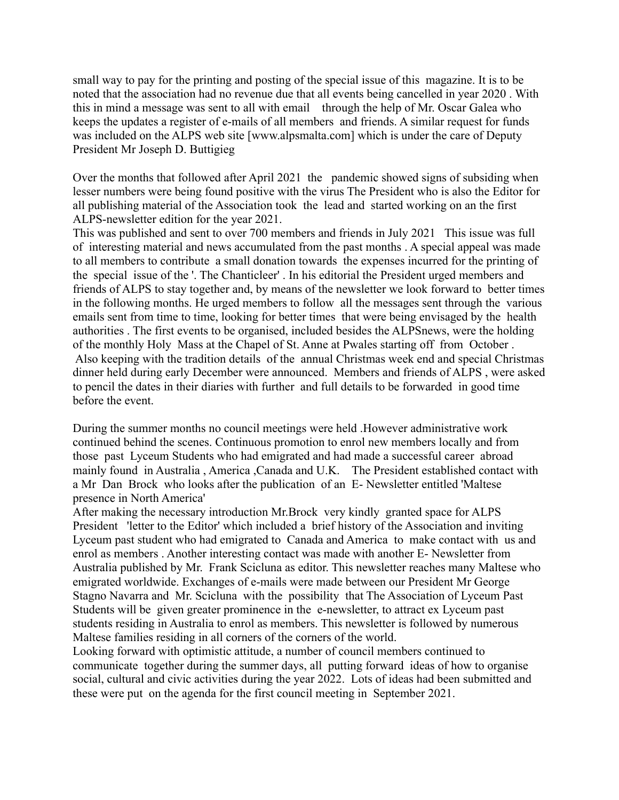small way to pay for the printing and posting of the special issue of this magazine. It is to be noted that the association had no revenue due that all events being cancelled in year 2020 . With this in mind a message was sent to all with email through the help of Mr. Oscar Galea who keeps the updates a register of e-mails of all members and friends. A similar request for funds was included on the ALPS web site [www.alpsmalta.com] which is under the care of Deputy President Mr Joseph D. Buttigieg

Over the months that followed after April 2021 the pandemic showed signs of subsiding when lesser numbers were being found positive with the virus The President who is also the Editor for all publishing material of the Association took the lead and started working on an the first ALPS-newsletter edition for the year 2021.

This was published and sent to over 700 members and friends in July 2021 This issue was full of interesting material and news accumulated from the past months . A special appeal was made to all members to contribute a small donation towards the expenses incurred for the printing of the special issue of the '. The Chanticleer' . In his editorial the President urged members and friends of ALPS to stay together and, by means of the newsletter we look forward to better times in the following months. He urged members to follow all the messages sent through the various emails sent from time to time, looking for better times that were being envisaged by the health authorities . The first events to be organised, included besides the ALPSnews, were the holding of the monthly Holy Mass at the Chapel of St. Anne at Pwales starting off from October . Also keeping with the tradition details of the annual Christmas week end and special Christmas dinner held during early December were announced. Members and friends of ALPS , were asked to pencil the dates in their diaries with further and full details to be forwarded in good time before the event.

During the summer months no council meetings were held .However administrative work continued behind the scenes. Continuous promotion to enrol new members locally and from those past Lyceum Students who had emigrated and had made a successful career abroad mainly found in Australia , America ,Canada and U.K. The President established contact with a Mr Dan Brock who looks after the publication of an E- Newsletter entitled 'Maltese presence in North America'

After making the necessary introduction Mr.Brock very kindly granted space for ALPS President 'letter to the Editor' which included a brief history of the Association and inviting Lyceum past student who had emigrated to Canada and America to make contact with us and enrol as members . Another interesting contact was made with another E- Newsletter from Australia published by Mr. Frank Scicluna as editor. This newsletter reaches many Maltese who emigrated worldwide. Exchanges of e-mails were made between our President Mr George Stagno Navarra and Mr. Scicluna with the possibility that The Association of Lyceum Past Students will be given greater prominence in the e-newsletter, to attract ex Lyceum past students residing in Australia to enrol as members. This newsletter is followed by numerous Maltese families residing in all corners of the corners of the world.

Looking forward with optimistic attitude, a number of council members continued to communicate together during the summer days, all putting forward ideas of how to organise social, cultural and civic activities during the year 2022. Lots of ideas had been submitted and these were put on the agenda for the first council meeting in September 2021.